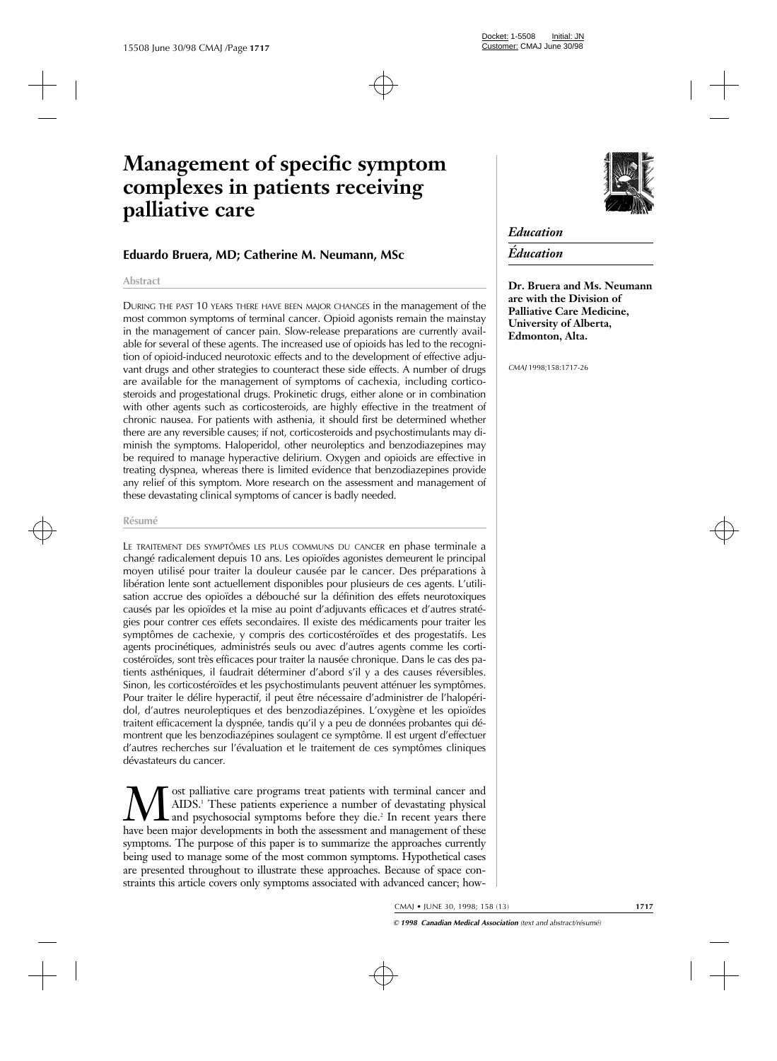# **Management of specific symptom complexes in patients receiving palliative care**

# **Eduardo Bruera, MD; Catherine M. Neumann, MSc**

#### **Abstract**

DURING THE PAST 10 YEARS THERE HAVE BEEN MAJOR CHANGES in the management of the most common symptoms of terminal cancer. Opioid agonists remain the mainstay in the management of cancer pain. Slow-release preparations are currently available for several of these agents. The increased use of opioids has led to the recognition of opioid-induced neurotoxic effects and to the development of effective adjuvant drugs and other strategies to counteract these side effects. A number of drugs are available for the management of symptoms of cachexia, including corticosteroids and progestational drugs. Prokinetic drugs, either alone or in combination with other agents such as corticosteroids, are highly effective in the treatment of chronic nausea. For patients with asthenia, it should first be determined whether there are any reversible causes; if not, corticosteroids and psychostimulants may diminish the symptoms. Haloperidol, other neuroleptics and benzodiazepines may be required to manage hyperactive delirium. Oxygen and opioids are effective in treating dyspnea, whereas there is limited evidence that benzodiazepines provide any relief of this symptom. More research on the assessment and management of these devastating clinical symptoms of cancer is badly needed.

#### **Résumé**

LE TRAITEMENT DES SYMPTÔMES LES PLUS COMMUNS DU CANCER en phase terminale a changé radicalement depuis 10 ans. Les opioïdes agonistes demeurent le principal moyen utilisé pour traiter la douleur causée par le cancer. Des préparations à libération lente sont actuellement disponibles pour plusieurs de ces agents. L'utilisation accrue des opioïdes a débouché sur la définition des effets neurotoxiques causés par les opioïdes et la mise au point d'adjuvants efficaces et d'autres stratégies pour contrer ces effets secondaires. Il existe des médicaments pour traiter les symptômes de cachexie, y compris des corticostéroïdes et des progestatifs. Les agents procinétiques, administrés seuls ou avec d'autres agents comme les corticostéroïdes, sont très efficaces pour traiter la nausée chronique. Dans le cas des patients asthéniques, il faudrait déterminer d'abord s'il y a des causes réversibles. Sinon, les corticostéroïdes et les psychostimulants peuvent atténuer les symptômes. Pour traiter le délire hyperactif, il peut être nécessaire d'administrer de l'halopéridol, d'autres neuroleptiques et des benzodiazépines. L'oxygène et les opioïdes traitent efficacement la dyspnée, tandis qu'il y a peu de données probantes qui démontrent que les benzodiazépines soulagent ce symptôme. Il est urgent d'effectuer d'autres recherches sur l'évaluation et le traitement de ces symptômes cliniques dévastateurs du cancer.

Most palliative care programs treat patients with terminal cancer and AIDS.<sup>1</sup> These patients experience a number of devastating physical and psychosocial symptoms before they die.<sup>2</sup> In recent years there have been major AIDS.<sup>1</sup> These patients experience a number of devastating physical and psychosocial symptoms before they die.<sup>2</sup> In recent years there have been major developments in both the assessment and management of these symptoms. The purpose of this paper is to summarize the approaches currently being used to manage some of the most common symptoms. Hypothetical cases are presented throughout to illustrate these approaches. Because of space constraints this article covers only symptoms associated with advanced cancer; how-

# *Education*

# *Éducation*

**Dr. Bruera and Ms. Neumann are with the Division of Palliative Care Medicine, University of Alberta, Edmonton, Alta.**

*CMAJ* 1998;158:1717-26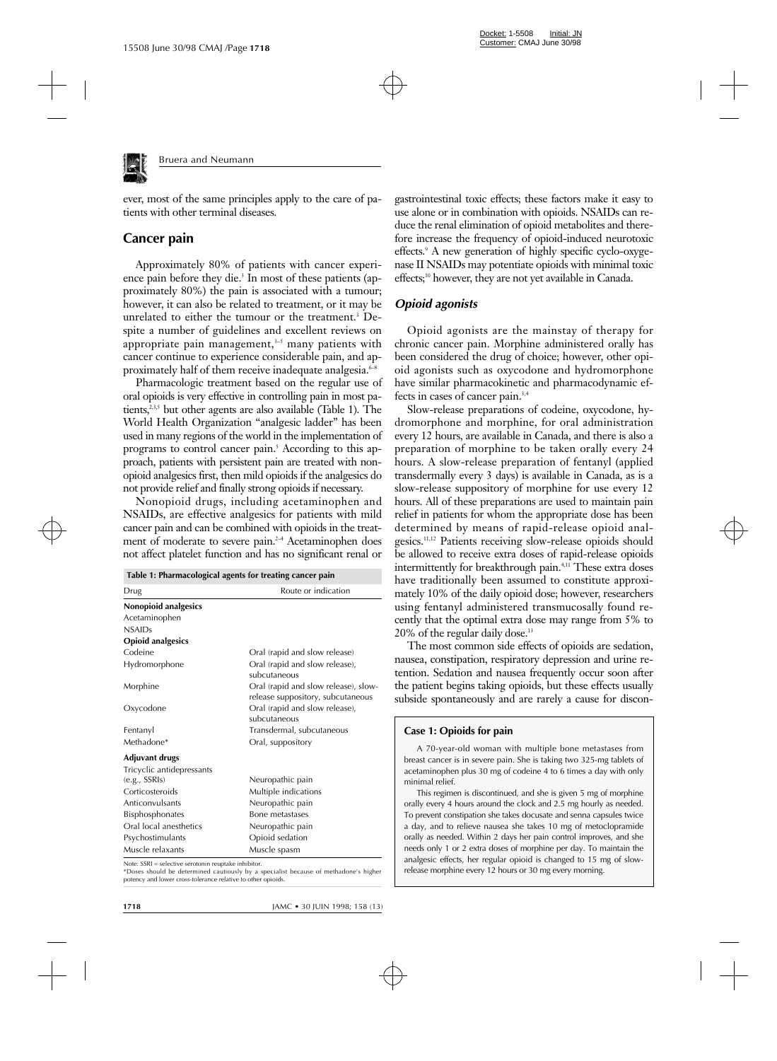

ever, most of the same principles apply to the care of patients with other terminal diseases.

## **Cancer pain**

Approximately 80% of patients with cancer experience pain before they die.<sup>3</sup> In most of these patients (approximately 80%) the pain is associated with a tumour; however, it can also be related to treatment, or it may be unrelated to either the tumour or the treatment.<sup>3</sup> Despite a number of guidelines and excellent reviews on appropriate pain management, $3-5$  many patients with cancer continue to experience considerable pain, and approximately half of them receive inadequate analgesia.<sup>6-8</sup>

Pharmacologic treatment based on the regular use of oral opioids is very effective in controlling pain in most patients, $235$  but other agents are also available (Table 1). The World Health Organization "analgesic ladder" has been used in many regions of the world in the implementation of programs to control cancer pain.5 According to this approach, patients with persistent pain are treated with nonopioid analgesics first, then mild opioids if the analgesics do not provide relief and finally strong opioids if necessary.

Nonopioid drugs, including acetaminophen and NSAIDs, are effective analgesics for patients with mild cancer pain and can be combined with opioids in the treatment of moderate to severe pain.<sup>2-4</sup> Acetaminophen does not affect platelet function and has no significant renal or

| Table 1: Pharmacological agents for treating cancer pain |                                                                           |  |
|----------------------------------------------------------|---------------------------------------------------------------------------|--|
| Drug                                                     | Route or indication                                                       |  |
| Nonopioid analgesics                                     |                                                                           |  |
| Acetaminophen                                            |                                                                           |  |
| <b>NSAIDs</b>                                            |                                                                           |  |
| <b>Opioid analgesics</b>                                 |                                                                           |  |
| Codeine                                                  | Oral (rapid and slow release)                                             |  |
| Hydromorphone                                            | Oral (rapid and slow release),<br>subcutaneous                            |  |
| Morphine                                                 | Oral (rapid and slow release), slow-<br>release suppository, subcutaneous |  |
| Oxycodone                                                | Oral (rapid and slow release),<br>subcutaneous                            |  |
| Fentanyl                                                 | Transdermal, subcutaneous                                                 |  |
| Methadone*                                               | Oral, suppository                                                         |  |
| <b>Adjuvant drugs</b>                                    |                                                                           |  |
| Tricyclic antidepressants                                |                                                                           |  |
| (e.g., SSRIs)                                            | Neuropathic pain                                                          |  |
| Corticosteroids                                          | Multiple indications                                                      |  |
| Anticonvulsants                                          | Neuropathic pain                                                          |  |
| <b>Bisphosphonates</b>                                   | Bone metastases                                                           |  |
| Oral local anesthetics                                   | Neuropathic pain                                                          |  |
| Psychostimulants                                         | Opioid sedation                                                           |  |
| Muscle relaxants                                         | Muscle spasm                                                              |  |

Note: SSRI = selective serotonin reuptake inhibitor.

\*Doses should be determined cautiously by a specialist because of methadone's higher potency and lower cross-tolerance relative to other opioids.

gastrointestinal toxic effects; these factors make it easy to use alone or in combination with opioids. NSAIDs can reduce the renal elimination of opioid metabolites and therefore increase the frequency of opioid-induced neurotoxic effects.9 A new generation of highly specific cyclo-oxygenase II NSAIDs may potentiate opioids with minimal toxic effects;10 however, they are not yet available in Canada.

## *Opioid agonists*

Opioid agonists are the mainstay of therapy for chronic cancer pain. Morphine administered orally has been considered the drug of choice; however, other opioid agonists such as oxycodone and hydromorphone have similar pharmacokinetic and pharmacodynamic effects in cases of cancer pain.3,4

Slow-release preparations of codeine, oxycodone, hydromorphone and morphine, for oral administration every 12 hours, are available in Canada, and there is also a preparation of morphine to be taken orally every 24 hours. A slow-release preparation of fentanyl (applied transdermally every 3 days) is available in Canada, as is a slow-release suppository of morphine for use every 12 hours. All of these preparations are used to maintain pain relief in patients for whom the appropriate dose has been determined by means of rapid-release opioid analgesics.11,12 Patients receiving slow-release opioids should be allowed to receive extra doses of rapid-release opioids intermittently for breakthrough pain.<sup>4,11</sup> These extra doses have traditionally been assumed to constitute approximately 10% of the daily opioid dose; however, researchers using fentanyl administered transmucosally found recently that the optimal extra dose may range from 5% to 20% of the regular daily dose.13

The most common side effects of opioids are sedation, nausea, constipation, respiratory depression and urine retention. Sedation and nausea frequently occur soon after the patient begins taking opioids, but these effects usually subside spontaneously and are rarely a cause for discon-

#### **Case 1: Opioids for pain**

A 70-year-old woman with multiple bone metastases from breast cancer is in severe pain. She is taking two 325-mg tablets of acetaminophen plus 30 mg of codeine 4 to 6 times a day with only minimal relief.

This regimen is discontinued, and she is given 5 mg of morphine orally every 4 hours around the clock and 2.5 mg hourly as needed. To prevent constipation she takes docusate and senna capsules twice a day, and to relieve nausea she takes 10 mg of metoclopramide orally as needed. Within 2 days her pain control improves, and she needs only 1 or 2 extra doses of morphine per day. To maintain the analgesic effects, her regular opioid is changed to 15 mg of slowrelease morphine every 12 hours or 30 mg every morning.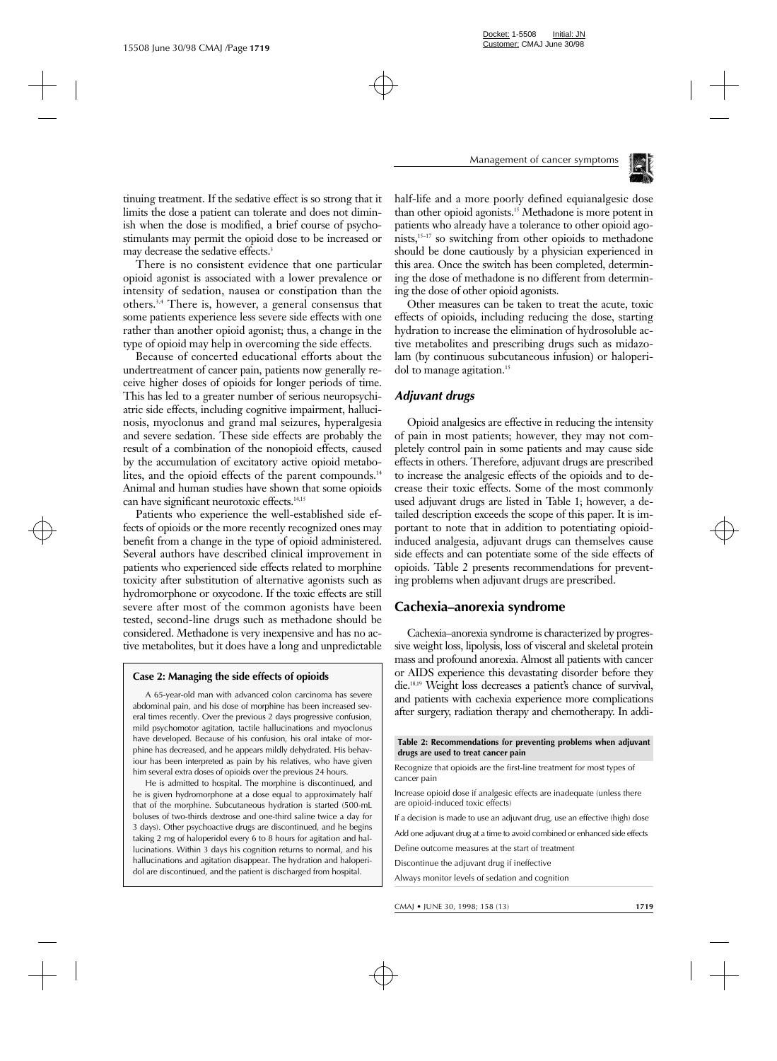

tinuing treatment. If the sedative effect is so strong that it limits the dose a patient can tolerate and does not diminish when the dose is modified, a brief course of psychostimulants may permit the opioid dose to be increased or may decrease the sedative effects.<sup>3</sup>

There is no consistent evidence that one particular opioid agonist is associated with a lower prevalence or intensity of sedation, nausea or constipation than the others.3,4 There is, however, a general consensus that some patients experience less severe side effects with one rather than another opioid agonist; thus, a change in the type of opioid may help in overcoming the side effects.

Because of concerted educational efforts about the undertreatment of cancer pain, patients now generally receive higher doses of opioids for longer periods of time. This has led to a greater number of serious neuropsychiatric side effects, including cognitive impairment, hallucinosis, myoclonus and grand mal seizures, hyperalgesia and severe sedation. These side effects are probably the result of a combination of the nonopioid effects, caused by the accumulation of excitatory active opioid metabolites, and the opioid effects of the parent compounds.<sup>14</sup> Animal and human studies have shown that some opioids can have significant neurotoxic effects.<sup>14,15</sup>

Patients who experience the well-established side effects of opioids or the more recently recognized ones may benefit from a change in the type of opioid administered. Several authors have described clinical improvement in patients who experienced side effects related to morphine toxicity after substitution of alternative agonists such as hydromorphone or oxycodone. If the toxic effects are still severe after most of the common agonists have been tested, second-line drugs such as methadone should be considered. Methadone is very inexpensive and has no active metabolites, but it does have a long and unpredictable

#### **Case 2: Managing the side effects of opioids**

A 65-year-old man with advanced colon carcinoma has severe abdominal pain, and his dose of morphine has been increased several times recently. Over the previous 2 days progressive confusion, mild psychomotor agitation, tactile hallucinations and myoclonus have developed. Because of his confusion, his oral intake of morphine has decreased, and he appears mildly dehydrated. His behaviour has been interpreted as pain by his relatives, who have given him several extra doses of opioids over the previous 24 hours.

He is admitted to hospital. The morphine is discontinued, and he is given hydromorphone at a dose equal to approximately half that of the morphine. Subcutaneous hydration is started (500-mL boluses of two-thirds dextrose and one-third saline twice a day for 3 days). Other psychoactive drugs are discontinued, and he begins taking 2 mg of haloperidol every 6 to 8 hours for agitation and hallucinations. Within 3 days his cognition returns to normal, and his hallucinations and agitation disappear. The hydration and haloperidol are discontinued, and the patient is discharged from hospital.

half-life and a more poorly defined equianalgesic dose than other opioid agonists.<sup>15</sup> Methadone is more potent in patients who already have a tolerance to other opioid agonists,15–17 so switching from other opioids to methadone should be done cautiously by a physician experienced in this area. Once the switch has been completed, determining the dose of methadone is no different from determining the dose of other opioid agonists.

Other measures can be taken to treat the acute, toxic effects of opioids, including reducing the dose, starting hydration to increase the elimination of hydrosoluble active metabolites and prescribing drugs such as midazolam (by continuous subcutaneous infusion) or haloperidol to manage agitation.<sup>15</sup>

## *Adjuvant drugs*

Opioid analgesics are effective in reducing the intensity of pain in most patients; however, they may not completely control pain in some patients and may cause side effects in others. Therefore, adjuvant drugs are prescribed to increase the analgesic effects of the opioids and to decrease their toxic effects. Some of the most commonly used adjuvant drugs are listed in Table 1; however, a detailed description exceeds the scope of this paper. It is important to note that in addition to potentiating opioidinduced analgesia, adjuvant drugs can themselves cause side effects and can potentiate some of the side effects of opioids. Table 2 presents recommendations for preventing problems when adjuvant drugs are prescribed.

## **Cachexia–anorexia syndrome**

Cachexia–anorexia syndrome is characterized by progressive weight loss, lipolysis, loss of visceral and skeletal protein mass and profound anorexia. Almost all patients with cancer or AIDS experience this devastating disorder before they die.18,19 Weight loss decreases a patient's chance of survival, and patients with cachexia experience more complications after surgery, radiation therapy and chemotherapy. In addi-

**Table 2: Recommendations for preventing problems when adjuvant drugs are used to treat cancer pain**

Recognize that opioids are the first-line treatment for most types of cancer pain

Increase opioid dose if analgesic effects are inadequate (unless there are opioid-induced toxic effects)

If a decision is made to use an adjuvant drug, use an effective (high) dose

Add one adjuvant drug at a time to avoid combined or enhanced side effects

Define outcome measures at the start of treatment

Discontinue the adjuvant drug if ineffective

Always monitor levels of sedation and cognition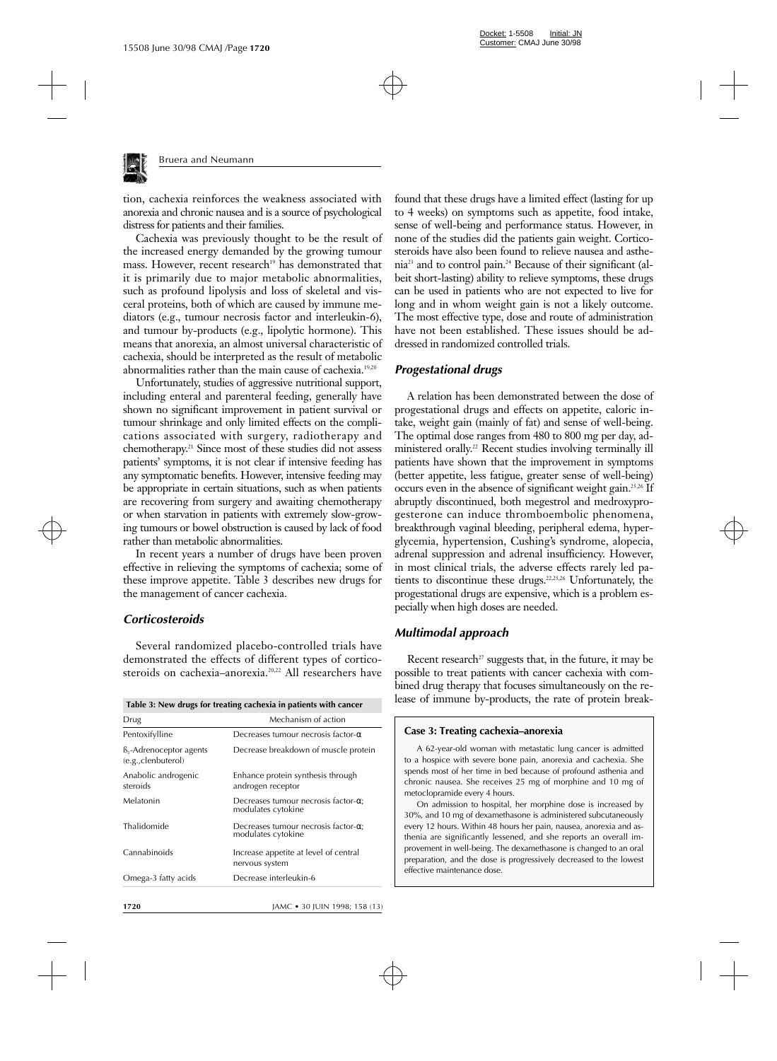

tion, cachexia reinforces the weakness associated with anorexia and chronic nausea and is a source of psychological distress for patients and their families.

Cachexia was previously thought to be the result of the increased energy demanded by the growing tumour mass. However, recent research<sup>19</sup> has demonstrated that it is primarily due to major metabolic abnormalities, such as profound lipolysis and loss of skeletal and visceral proteins, both of which are caused by immune mediators (e.g., tumour necrosis factor and interleukin-6), and tumour by-products (e.g., lipolytic hormone). This means that anorexia, an almost universal characteristic of cachexia, should be interpreted as the result of metabolic abnormalities rather than the main cause of cachexia.<sup>19,20</sup>

Unfortunately, studies of aggressive nutritional support, including enteral and parenteral feeding, generally have shown no significant improvement in patient survival or tumour shrinkage and only limited effects on the complications associated with surgery, radiotherapy and chemotherapy.21 Since most of these studies did not assess patients' symptoms, it is not clear if intensive feeding has any symptomatic benefits. However, intensive feeding may be appropriate in certain situations, such as when patients are recovering from surgery and awaiting chemotherapy or when starvation in patients with extremely slow-growing tumours or bowel obstruction is caused by lack of food rather than metabolic abnormalities.

In recent years a number of drugs have been proven effective in relieving the symptoms of cachexia; some of these improve appetite. Table 3 describes new drugs for the management of cancer cachexia.

## *Corticosteroids*

Several randomized placebo-controlled trials have demonstrated the effects of different types of corticosteroids on cachexia–anorexia.20,22 All researchers have

| Table 3: New drugs for treating cachexia in patients with cancer |  |  |
|------------------------------------------------------------------|--|--|
|------------------------------------------------------------------|--|--|

| Drug                                          | Mechanism of action                                                |
|-----------------------------------------------|--------------------------------------------------------------------|
| Pentoxifylline                                | Decreases tumour necrosis factor- $\alpha$                         |
| ß,-Adrenoceptor agents<br>(e.g., clenbuterol) | Decrease breakdown of muscle protein                               |
| Anabolic androgenic<br>steroids               | Enhance protein synthesis through<br>androgen receptor             |
| Melatonin                                     | Decreases tumour necrosis factor- $\alpha$ :<br>modulates cytokine |
| Thalidomide                                   | Decreases tumour necrosis factor- $\alpha$ ;<br>modulates cytokine |
| Cannabinoids                                  | Increase appetite at level of central<br>nervous system            |
| Omega-3 fatty acids                           | Decrease interleukin-6                                             |
|                                               |                                                                    |

found that these drugs have a limited effect (lasting for up to 4 weeks) on symptoms such as appetite, food intake, sense of well-being and performance status. However, in none of the studies did the patients gain weight. Corticosteroids have also been found to relieve nausea and asthenia23 and to control pain.24 Because of their significant (albeit short-lasting) ability to relieve symptoms, these drugs can be used in patients who are not expected to live for long and in whom weight gain is not a likely outcome. The most effective type, dose and route of administration have not been established. These issues should be addressed in randomized controlled trials.

### *Progestational drugs*

A relation has been demonstrated between the dose of progestational drugs and effects on appetite, caloric intake, weight gain (mainly of fat) and sense of well-being. The optimal dose ranges from 480 to 800 mg per day, administered orally.<sup>22</sup> Recent studies involving terminally ill patients have shown that the improvement in symptoms (better appetite, less fatigue, greater sense of well-being) occurs even in the absence of significant weight gain.25,26 If abruptly discontinued, both megestrol and medroxyprogesterone can induce thromboembolic phenomena, breakthrough vaginal bleeding, peripheral edema, hyperglycemia, hypertension, Cushing's syndrome, alopecia, adrenal suppression and adrenal insufficiency. However, in most clinical trials, the adverse effects rarely led patients to discontinue these drugs.<sup>22,25,26</sup> Unfortunately, the progestational drugs are expensive, which is a problem especially when high doses are needed.

## *Multimodal approach*

effective maintenance dose.

Recent research<sup> $27$ </sup> suggests that, in the future, it may be possible to treat patients with cancer cachexia with combined drug therapy that focuses simultaneously on the release of immune by-products, the rate of protein break-

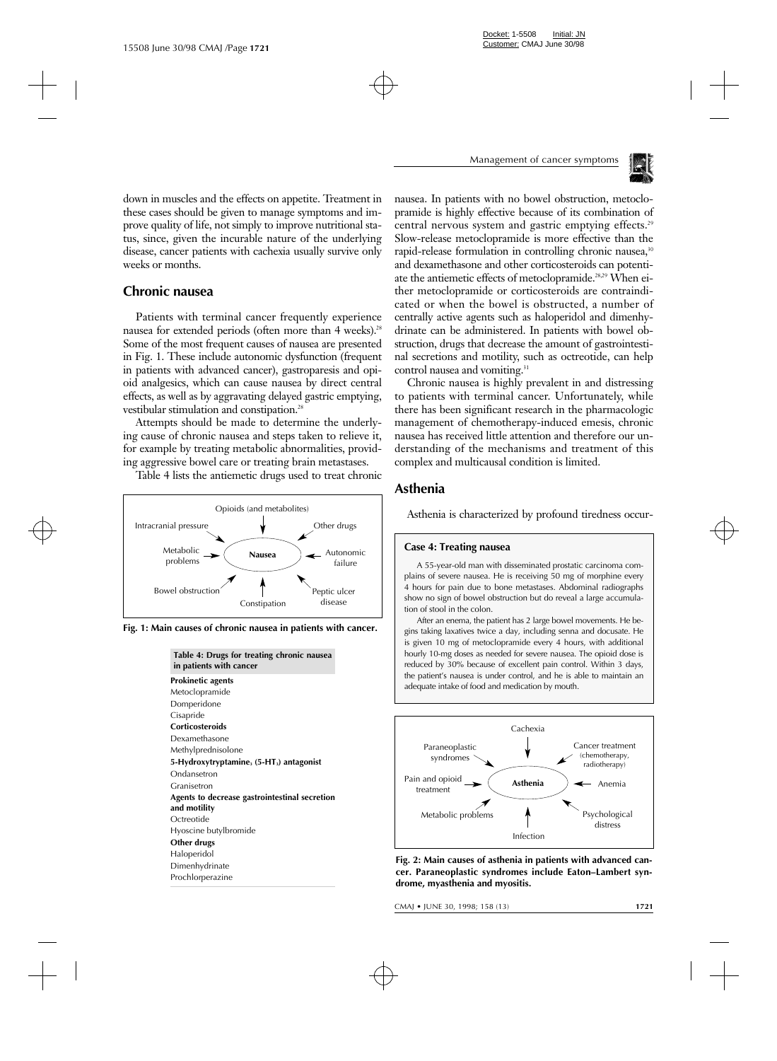

down in muscles and the effects on appetite. Treatment in these cases should be given to manage symptoms and improve quality of life, not simply to improve nutritional status, since, given the incurable nature of the underlying disease, cancer patients with cachexia usually survive only weeks or months.

# **Chronic nausea**

Patients with terminal cancer frequently experience nausea for extended periods (often more than 4 weeks).<sup>28</sup> Some of the most frequent causes of nausea are presented in Fig. 1. These include autonomic dysfunction (frequent in patients with advanced cancer), gastroparesis and opioid analgesics, which can cause nausea by direct central effects, as well as by aggravating delayed gastric emptying, vestibular stimulation and constipation.<sup>28</sup>

Attempts should be made to determine the underlying cause of chronic nausea and steps taken to relieve it, for example by treating metabolic abnormalities, providing aggressive bowel care or treating brain metastases.

Table 4 lists the antiemetic drugs used to treat chronic



**Fig. 1: Main causes of chronic nausea in patients with cancer.**

| Table 4: Drugs for treating chronic nausea<br>in patients with cancer |
|-----------------------------------------------------------------------|
| <b>Prokinetic agents</b>                                              |
| Metoclopramide                                                        |
| Domperidone                                                           |
| Cisapride                                                             |
| <b>Corticosteroids</b>                                                |
| Dexamethasone                                                         |
| Methylprednisolone                                                    |
| 5-Hydroxytryptamine, $(5-HT_3)$ antagonist                            |
| Ondansetron                                                           |
| Granisetron                                                           |
| Agents to decrease gastrointestinal secretion<br>and motility         |
| Octreotide                                                            |
| Hyoscine butylbromide                                                 |
| Other drugs                                                           |
| Haloperidol                                                           |
| Dimenhydrinate                                                        |
| Prochlorperazine                                                      |

nausea. In patients with no bowel obstruction, metoclopramide is highly effective because of its combination of central nervous system and gastric emptying effects.<sup>29</sup> Slow-release metoclopramide is more effective than the rapid-release formulation in controlling chronic nausea,<sup>30</sup> and dexamethasone and other corticosteroids can potentiate the antiemetic effects of metoclopramide.28,29 When either metoclopramide or corticosteroids are contraindicated or when the bowel is obstructed, a number of centrally active agents such as haloperidol and dimenhydrinate can be administered. In patients with bowel obstruction, drugs that decrease the amount of gastrointestinal secretions and motility, such as octreotide, can help control nausea and vomiting.<sup>31</sup>

Chronic nausea is highly prevalent in and distressing to patients with terminal cancer. Unfortunately, while there has been significant research in the pharmacologic management of chemotherapy-induced emesis, chronic nausea has received little attention and therefore our understanding of the mechanisms and treatment of this complex and multicausal condition is limited.

# **Asthenia**

Asthenia is characterized by profound tiredness occur-

#### **Case 4: Treating nausea**

A 55-year-old man with disseminated prostatic carcinoma complains of severe nausea. He is receiving 50 mg of morphine every 4 hours for pain due to bone metastases. Abdominal radiographs show no sign of bowel obstruction but do reveal a large accumulation of stool in the colon.

After an enema, the patient has 2 large bowel movements. He begins taking laxatives twice a day, including senna and docusate. He is given 10 mg of metoclopramide every 4 hours, with additional hourly 10-mg doses as needed for severe nausea. The opioid dose is reduced by 30% because of excellent pain control. Within 3 days, the patient's nausea is under control, and he is able to maintain an adequate intake of food and medication by mouth.



**Fig. 2: Main causes of asthenia in patients with advanced cancer. Paraneoplastic syndromes include Eaton–Lambert syndrome, myasthenia and myositis.**

CMAJ • JUNE 30, 1998; 158 (13) **1721**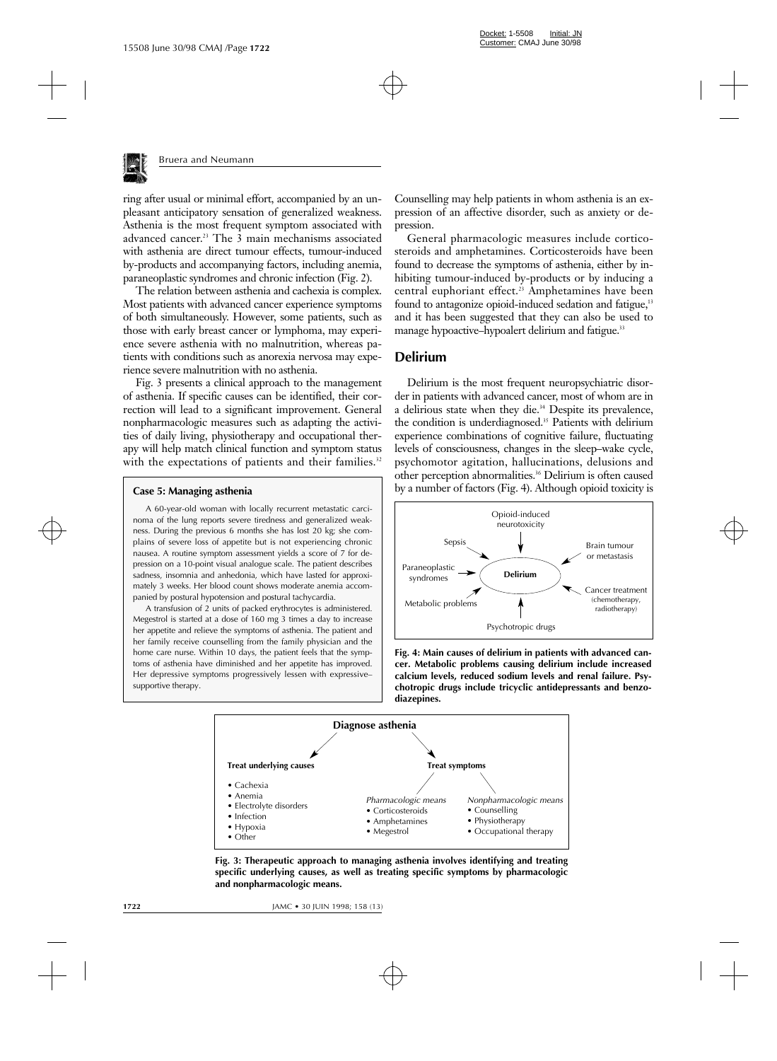

ring after usual or minimal effort, accompanied by an unpleasant anticipatory sensation of generalized weakness. Asthenia is the most frequent symptom associated with advanced cancer.23 The 3 main mechanisms associated with asthenia are direct tumour effects, tumour-induced by-products and accompanying factors, including anemia, paraneoplastic syndromes and chronic infection (Fig. 2).

The relation between asthenia and cachexia is complex. Most patients with advanced cancer experience symptoms of both simultaneously. However, some patients, such as those with early breast cancer or lymphoma, may experience severe asthenia with no malnutrition, whereas patients with conditions such as anorexia nervosa may experience severe malnutrition with no asthenia.

Fig. 3 presents a clinical approach to the management of asthenia. If specific causes can be identified, their correction will lead to a significant improvement. General nonpharmacologic measures such as adapting the activities of daily living, physiotherapy and occupational therapy will help match clinical function and symptom status with the expectations of patients and their families.<sup>32</sup>

#### **Case 5: Managing asthenia**

A 60-year-old woman with locally recurrent metastatic carcinoma of the lung reports severe tiredness and generalized weakness. During the previous 6 months she has lost 20 kg; she complains of severe loss of appetite but is not experiencing chronic nausea. A routine symptom assessment yields a score of 7 for depression on a 10-point visual analogue scale. The patient describes sadness, insomnia and anhedonia, which have lasted for approximately 3 weeks. Her blood count shows moderate anemia accompanied by postural hypotension and postural tachycardia.

A transfusion of 2 units of packed erythrocytes is administered. Megestrol is started at a dose of 160 mg 3 times a day to increase her appetite and relieve the symptoms of asthenia. The patient and her family receive counselling from the family physician and the home care nurse. Within 10 days, the patient feels that the symptoms of asthenia have diminished and her appetite has improved. Her depressive symptoms progressively lessen with expressive– supportive therapy.

Counselling may help patients in whom asthenia is an expression of an affective disorder, such as anxiety or depression.

General pharmacologic measures include corticosteroids and amphetamines. Corticosteroids have been found to decrease the symptoms of asthenia, either by inhibiting tumour-induced by-products or by inducing a central euphoriant effect.<sup>23</sup> Amphetamines have been found to antagonize opioid-induced sedation and fatigue,<sup>13</sup> and it has been suggested that they can also be used to manage hypoactive–hypoalert delirium and fatigue.<sup>33</sup>

## **Delirium**

Delirium is the most frequent neuropsychiatric disorder in patients with advanced cancer, most of whom are in a delirious state when they die.34 Despite its prevalence, the condition is underdiagnosed.<sup>35</sup> Patients with delirium experience combinations of cognitive failure, fluctuating levels of consciousness, changes in the sleep–wake cycle, psychomotor agitation, hallucinations, delusions and other perception abnormalities.36 Delirium is often caused by a number of factors (Fig. 4). Although opioid toxicity is



**Fig. 4: Main causes of delirium in patients with advanced cancer. Metabolic problems causing delirium include increased calcium levels, reduced sodium levels and renal failure. Psychotropic drugs include tricyclic antidepressants and benzodiazepines.**



**Fig. 3: Therapeutic approach to managing asthenia involves identifying and treating specific underlying causes, as well as treating specific symptoms by pharmacologic and nonpharmacologic means.**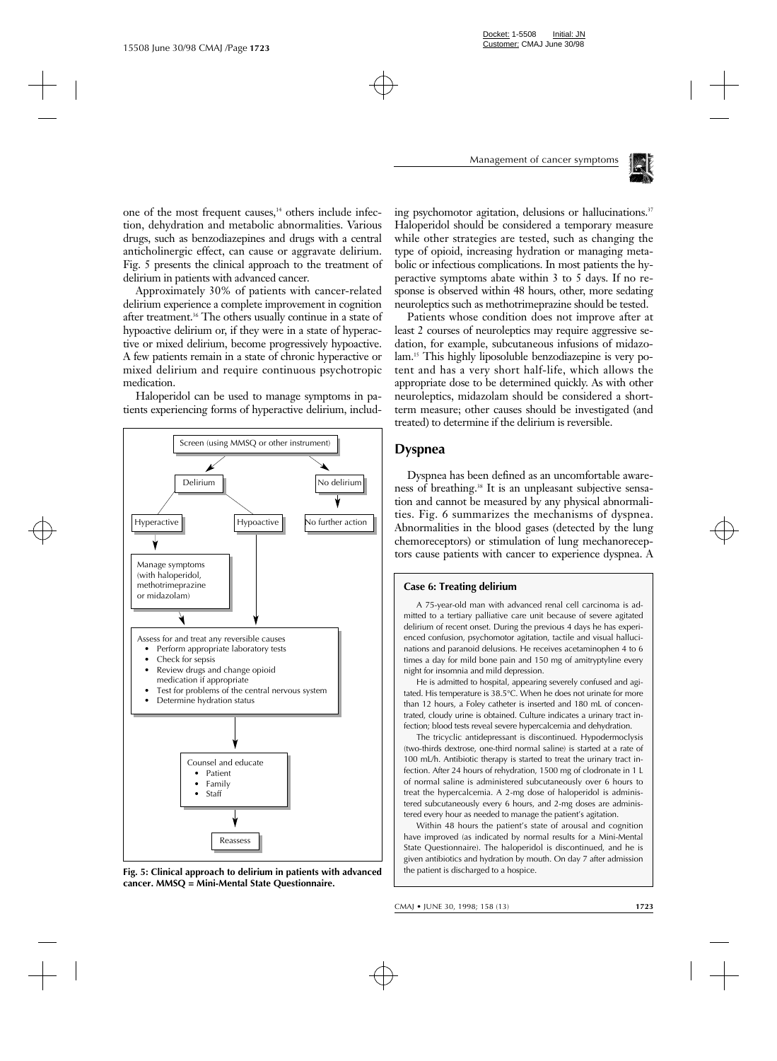

one of the most frequent causes,<sup>14</sup> others include infection, dehydration and metabolic abnormalities. Various drugs, such as benzodiazepines and drugs with a central anticholinergic effect, can cause or aggravate delirium. Fig. 5 presents the clinical approach to the treatment of delirium in patients with advanced cancer.

Approximately 30% of patients with cancer-related delirium experience a complete improvement in cognition after treatment.36 The others usually continue in a state of hypoactive delirium or, if they were in a state of hyperactive or mixed delirium, become progressively hypoactive. A few patients remain in a state of chronic hyperactive or mixed delirium and require continuous psychotropic medication.

Haloperidol can be used to manage symptoms in patients experiencing forms of hyperactive delirium, includ-



**Fig. 5: Clinical approach to delirium in patients with advanced cancer. MMSQ = Mini-Mental State Questionnaire.**

ing psychomotor agitation, delusions or hallucinations.<sup>37</sup> Haloperidol should be considered a temporary measure while other strategies are tested, such as changing the type of opioid, increasing hydration or managing metabolic or infectious complications. In most patients the hyperactive symptoms abate within 3 to 5 days. If no response is observed within 48 hours, other, more sedating neuroleptics such as methotrimeprazine should be tested.

Patients whose condition does not improve after at least 2 courses of neuroleptics may require aggressive sedation, for example, subcutaneous infusions of midazolam.15 This highly liposoluble benzodiazepine is very potent and has a very short half-life, which allows the appropriate dose to be determined quickly. As with other neuroleptics, midazolam should be considered a shortterm measure; other causes should be investigated (and treated) to determine if the delirium is reversible.

### **Dyspnea**

Dyspnea has been defined as an uncomfortable awareness of breathing.<sup>38</sup> It is an unpleasant subjective sensation and cannot be measured by any physical abnormalities. Fig. 6 summarizes the mechanisms of dyspnea. Abnormalities in the blood gases (detected by the lung chemoreceptors) or stimulation of lung mechanoreceptors cause patients with cancer to experience dyspnea. A

#### **Case 6: Treating delirium**

A 75-year-old man with advanced renal cell carcinoma is admitted to a tertiary palliative care unit because of severe agitated delirium of recent onset. During the previous 4 days he has experienced confusion, psychomotor agitation, tactile and visual hallucinations and paranoid delusions. He receives acetaminophen 4 to 6 times a day for mild bone pain and 150 mg of amitryptyline every night for insomnia and mild depression.

He is admitted to hospital, appearing severely confused and agitated. His temperature is 38.5°C. When he does not urinate for more than 12 hours, a Foley catheter is inserted and 180 mL of concentrated, cloudy urine is obtained. Culture indicates a urinary tract infection; blood tests reveal severe hypercalcemia and dehydration.

The tricyclic antidepressant is discontinued. Hypodermoclysis (two-thirds dextrose, one-third normal saline) is started at a rate of 100 mL/h. Antibiotic therapy is started to treat the urinary tract infection. After 24 hours of rehydration, 1500 mg of clodronate in 1 L of normal saline is administered subcutaneously over 6 hours to treat the hypercalcemia. A 2-mg dose of haloperidol is administered subcutaneously every 6 hours, and 2-mg doses are administered every hour as needed to manage the patient's agitation.

Within 48 hours the patient's state of arousal and cognition have improved (as indicated by normal results for a Mini-Mental State Questionnaire). The haloperidol is discontinued, and he is given antibiotics and hydration by mouth. On day 7 after admission the patient is discharged to a hospice.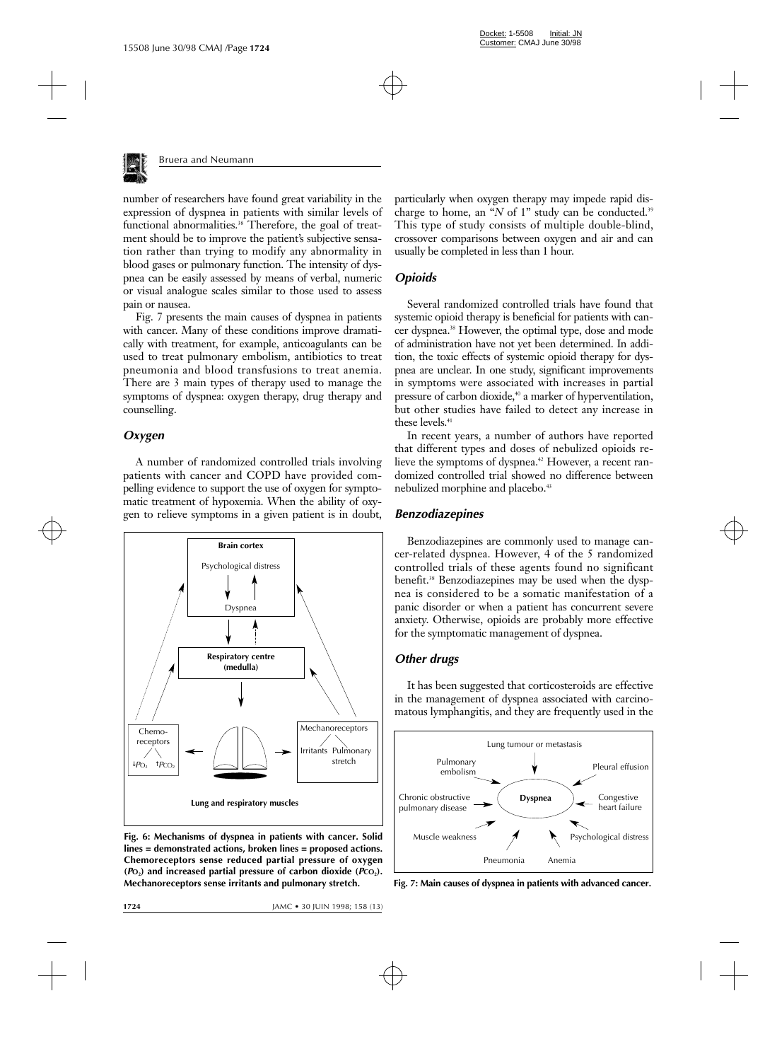

number of researchers have found great variability in the expression of dyspnea in patients with similar levels of functional abnormalities.<sup>38</sup> Therefore, the goal of treatment should be to improve the patient's subjective sensation rather than trying to modify any abnormality in blood gases or pulmonary function. The intensity of dyspnea can be easily assessed by means of verbal, numeric or visual analogue scales similar to those used to assess pain or nausea.

Fig. 7 presents the main causes of dyspnea in patients with cancer. Many of these conditions improve dramatically with treatment, for example, anticoagulants can be used to treat pulmonary embolism, antibiotics to treat pneumonia and blood transfusions to treat anemia. There are 3 main types of therapy used to manage the symptoms of dyspnea: oxygen therapy, drug therapy and counselling.

## *Oxygen*

A number of randomized controlled trials involving patients with cancer and COPD have provided compelling evidence to support the use of oxygen for symptomatic treatment of hypoxemia. When the ability of oxygen to relieve symptoms in a given patient is in doubt,



**Fig. 6: Mechanisms of dyspnea in patients with cancer. Solid lines = demonstrated actions, broken lines = proposed actions. Chemoreceptors sense reduced partial pressure of oxygen**  $(PO_2)$  and increased partial pressure of carbon dioxide  $(PCO_2)$ . **Mechanoreceptors sense irritants and pulmonary stretch.**

particularly when oxygen therapy may impede rapid discharge to home, an "*N* of 1" study can be conducted.<sup>39</sup> This type of study consists of multiple double-blind, crossover comparisons between oxygen and air and can usually be completed in less than 1 hour.

# *Opioids*

Several randomized controlled trials have found that systemic opioid therapy is beneficial for patients with cancer dyspnea.<sup>38</sup> However, the optimal type, dose and mode of administration have not yet been determined. In addition, the toxic effects of systemic opioid therapy for dyspnea are unclear. In one study, significant improvements in symptoms were associated with increases in partial pressure of carbon dioxide,<sup>40</sup> a marker of hyperventilation, but other studies have failed to detect any increase in these levels.<sup>41</sup>

In recent years, a number of authors have reported that different types and doses of nebulized opioids relieve the symptoms of dyspnea.<sup>42</sup> However, a recent randomized controlled trial showed no difference between nebulized morphine and placebo.<sup>43</sup>

## *Benzodiazepines*

Benzodiazepines are commonly used to manage cancer-related dyspnea. However, 4 of the 5 randomized controlled trials of these agents found no significant benefit.<sup>38</sup> Benzodiazepines may be used when the dyspnea is considered to be a somatic manifestation of a panic disorder or when a patient has concurrent severe anxiety. Otherwise, opioids are probably more effective for the symptomatic management of dyspnea.

## *Other drugs*

It has been suggested that corticosteroids are effective in the management of dyspnea associated with carcinomatous lymphangitis, and they are frequently used in the



**Fig. 7: Main causes of dyspnea in patients with advanced cancer.**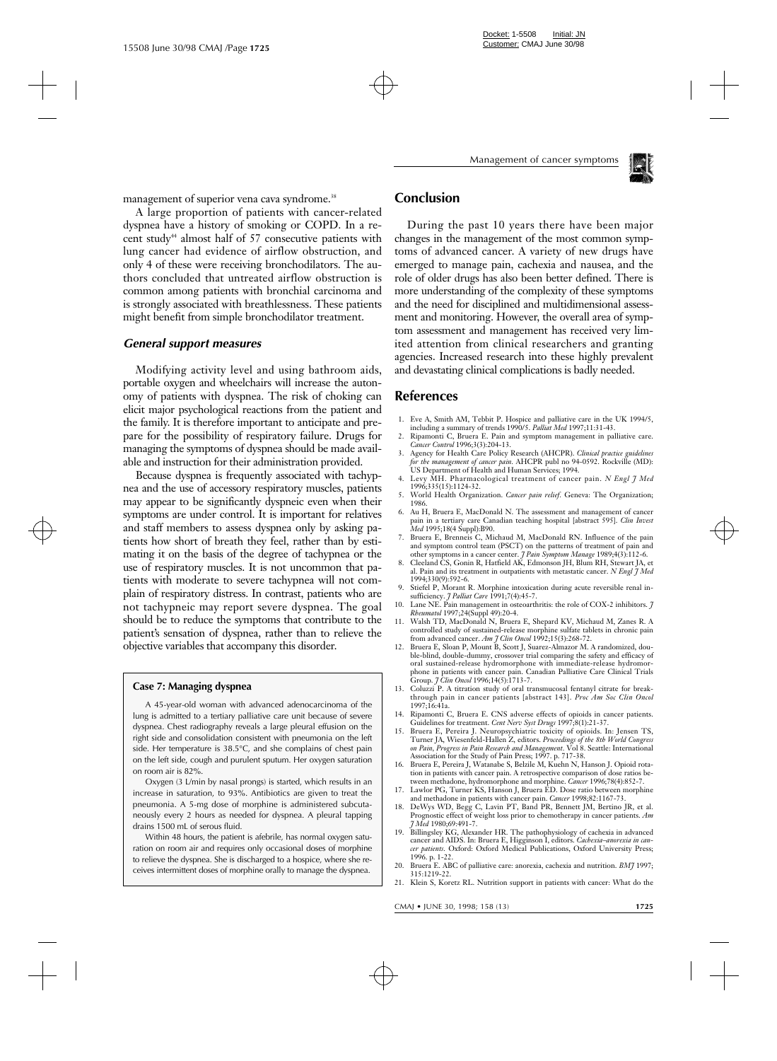

management of superior vena cava syndrome.<sup>38</sup>

A large proportion of patients with cancer-related dyspnea have a history of smoking or COPD. In a recent study<sup>44</sup> almost half of  $57$  consecutive patients with lung cancer had evidence of airflow obstruction, and only 4 of these were receiving bronchodilators. The authors concluded that untreated airflow obstruction is common among patients with bronchial carcinoma and is strongly associated with breathlessness. These patients might benefit from simple bronchodilator treatment.

#### *General support measures*

Modifying activity level and using bathroom aids, portable oxygen and wheelchairs will increase the autonomy of patients with dyspnea. The risk of choking can elicit major psychological reactions from the patient and the family. It is therefore important to anticipate and prepare for the possibility of respiratory failure. Drugs for managing the symptoms of dyspnea should be made available and instruction for their administration provided.

Because dyspnea is frequently associated with tachypnea and the use of accessory respiratory muscles, patients may appear to be significantly dyspneic even when their symptoms are under control. It is important for relatives and staff members to assess dyspnea only by asking patients how short of breath they feel, rather than by estimating it on the basis of the degree of tachypnea or the use of respiratory muscles. It is not uncommon that patients with moderate to severe tachypnea will not complain of respiratory distress. In contrast, patients who are not tachypneic may report severe dyspnea. The goal should be to reduce the symptoms that contribute to the patient's sensation of dyspnea, rather than to relieve the objective variables that accompany this disorder.

#### **Case 7: Managing dyspnea**

A 45-year-old woman with advanced adenocarcinoma of the lung is admitted to a tertiary palliative care unit because of severe dyspnea. Chest radiography reveals a large pleural effusion on the right side and consolidation consistent with pneumonia on the left side. Her temperature is 38.5°C, and she complains of chest pain on the left side, cough and purulent sputum. Her oxygen saturation on room air is 82%.

Oxygen (3 L/min by nasal prongs) is started, which results in an increase in saturation, to 93%. Antibiotics are given to treat the pneumonia. A 5-mg dose of morphine is administered subcutaneously every 2 hours as needed for dyspnea. A pleural tapping drains 1500 mL of serous fluid.

Within 48 hours, the patient is afebrile, has normal oxygen saturation on room air and requires only occasional doses of morphine to relieve the dyspnea. She is discharged to a hospice, where she receives intermittent doses of morphine orally to manage the dyspnea.

# **Conclusion**

During the past 10 years there have been major changes in the management of the most common symptoms of advanced cancer. A variety of new drugs have emerged to manage pain, cachexia and nausea, and the role of older drugs has also been better defined. There is more understanding of the complexity of these symptoms and the need for disciplined and multidimensional assessment and monitoring. However, the overall area of symptom assessment and management has received very limited attention from clinical researchers and granting agencies. Increased research into these highly prevalent and devastating clinical complications is badly needed.

## **References**

- 1. Eve A, Smith AM, Tebbit P. Hospice and palliative care in the UK 1994/5, including a summary of trends 1990/5. *Palliat Med* 1997;11:31-43.
- 2. Ripamonti C, Bruera E. Pain and symptom management in palliative care. *Cancer Control* 1996;3(3):204-13.
- 3. Agency for Health Care Policy Research (AHCPR). *Clinical practice guidelines for the management of cancer pain.* AHCPR publ no 94-0592. Rockville (MD): US Department of Health and Human Services; 1994.
- 4. Levy MH. Pharmacological treatment of cancer pain. *N Engl J Med* 1996;335(15):1124-32.
- 5. World Health Organization. *Cancer pain relief.* Geneva: The Organization; 1986.
- 6. Au H, Bruera E, MacDonald N. The assessment and management of cancer pain in a tertiary care Canadian teaching hospital [abstract 595]. *Clin Invest Med* 1995;18(4 Suppl):B90.
- 7. Bruera E, Brenneis C, Michaud M, MacDonald RN. Influence of the pain and symptom control team (PSCT) on the patterns of treatment of pain and other symptoms in a cancer center. *J Pain Symptom Manage* 1989;4(3):112-6.
- 8. Cleeland CS, Gonin R, Hatfield AK, Edmonson JH, Blum RH, Stewart JA, et al. Pain and its treatment in outpatients with metastatic cancer. *N Engl J Med* 1994;330(9):592-6.
- Stiefel P, Morant R. Morphine intoxication during acute reversible renal insufficiency. *J Palliat Care* 1991;7(4):45-7.
- 10. Lane NE. Pain management in osteoarthritis: the role of COX-2 inhibitors. *J Rheumatol* 1997;24(Suppl 49):20-4.
- 11. Walsh TD, MacDonald N, Bruera E, Shepard KV, Michaud M, Zanes R. A controlled study of sustained-release morphine sulfate tablets in chronic pain from advanced cancer. *Am J Clin Oncol* 1992;15(3):268-72.
- 12. Bruera E, Sloan P, Mount B, Scott J, Suarez-Almazor M. A randomized, double-blind, double-dummy, crossover trial comparing the safety and efficacy of oral sustained-release hydromorphone with immediate-release hydromorphone in patients with cancer pain. Canadian Palliative Care Clinical Trials Group. *J Clin Oncol* 1996;14(5):1713-7.
- 13. Coluzzi P. A titration study of oral transmucosal fentanyl citrate for breakthrough pain in cancer patients [abstract 143]. *Proc Am Soc Clin Oncol* 1997;16:41a.
- 14. Ripamonti C, Bruera E. CNS adverse effects of opioids in cancer patients. Guidelines for treatment. *Cent Nerv Syst Drugs* 1997;8(1):21-37.
- 15. Bruera E, Pereira J. Neuropsychiatric toxicity of opioids. In: Jensen TS, Turner JA, Wiesenfeld-Hallen Z, editors. *Proceedings of the 8th World Congress on Pain, Progress in Pain Research and Management.* Vol 8. Seattle: International Association for the Study of Pain Press; 1997. p. 717-38.
- 16. Bruera E, Pereira J, Watanabe S, Belzile M, Kuehn N, Hanson J. Opioid rotation in patients with cancer pain. A retrospective comparison of dose ratios between methadone, hydromorphone and morphine. *Cancer* 1996;78(4):852-7.
- 17. Lawlor PG, Turner KS, Hanson J, Bruera ED. Dose ratio between morphine
- and methadone in patients with cancer pain. *Cancer* 1998;82:1167-73. 18. DeWys WD, Begg C, Lavin PT, Band PR, Bennett JM, Bertino JR, et al. Prognostic effect of weight loss prior to chemotherapy in cancer patients. *Am J Med* 1980;69:491-7.
- 19. Billingsley KG, Alexander HR. The pathophysiology of cachexia in advanced cancer and AIDS. In: Bruera E, Higginson I, editors. *Cachexia–anorexia in cancer patients.* Oxford: Oxford Medical Publications, Oxford University Press; 1996. p. 1-22.
- 20. Bruera E. ABC of palliative care: anorexia, cachexia and nutrition. *BMJ* 1997; 315:1219-22.
- 21. Klein S, Koretz RL. Nutrition support in patients with cancer: What do the